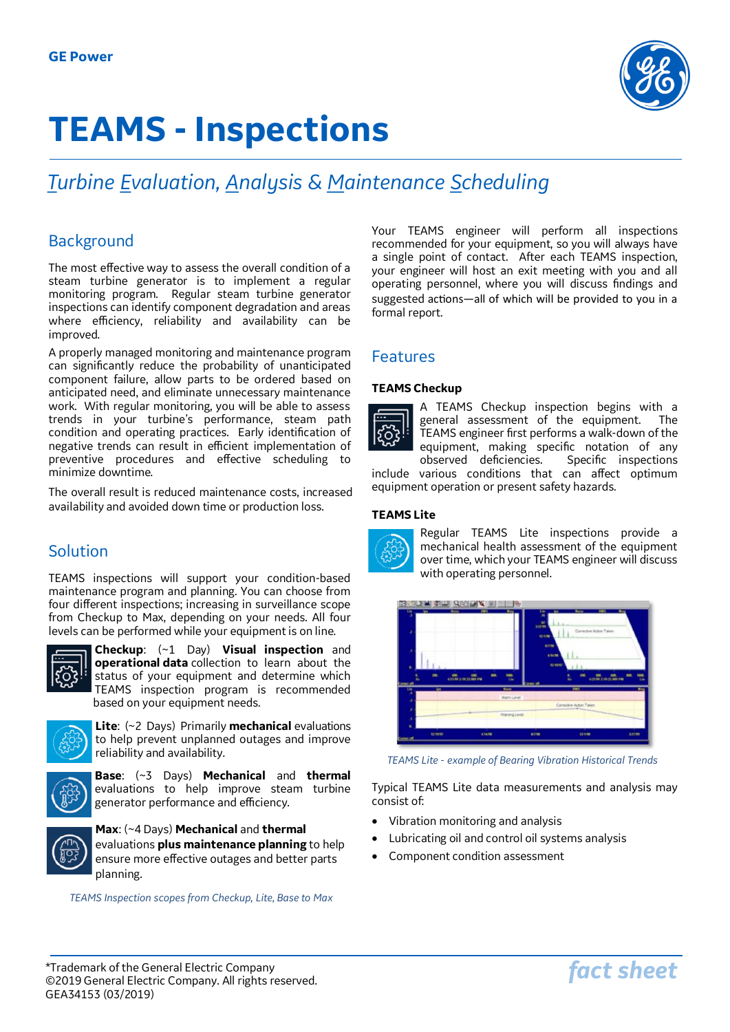

# **TEAMS - Inspections**

# *Turbine Evaluation, Analysis & Maintenance Scheduling*

# Background

The most effective way to assess the overall condition of a steam turbine generator is to implement a regular monitoring program. Regular steam turbine generator inspections can identify component degradation and areas where efficiency, reliability and availability can be improved.

A properly managed monitoring and maintenance program can significantly reduce the probability of unanticipated component failure, allow parts to be ordered based on anticipated need, and eliminate unnecessary maintenance work. With regular monitoring, you will be able to assess trends in your turbine's performance, steam path condition and operating practices. Early identification of negative trends can result in efficient implementation of preventive procedures and effective scheduling to minimize downtime.

The overall result is reduced maintenance costs, increased availability and avoided down time or production loss.

# Solution

TEAMS inspections will support your condition-based maintenance program and planning. You can choose from four different inspections; increasing in surveillance scope from Checkup to Max, depending on your needs. All four levels can be performed while your equipment is on line.



**Checkup**: (~1 Day) **Visual inspection** and **operational data** collection to learn about the status of your equipment and determine which TEAMS inspection program is recommended based on your equipment needs.



**Lite**: (~2 Days) Primarily **mechanical** evaluations to help prevent unplanned outages and improve reliability and availability.



**Base**: (~3 Days) **Mechanical** and **thermal** evaluations to help improve steam turbine generator performance and efficiency.

**Max**: (~4 Days) **Mechanical** and **thermal**  evaluations **plus maintenance planning** to help ensure more effective outages and better parts planning.

*TEAMS Inspection scopes from Checkup, Lite, Base to Max*

Your TEAMS engineer will perform all inspections recommended for your equipment, so you will always have a single point of contact. After each TEAMS inspection, your engineer will host an exit meeting with you and all operating personnel, where you will discuss findings and suggested actions—all of which will be provided to you in a formal report.

## Features

#### **TEAMS Checkup**



A TEAMS Checkup inspection begins with a general assessment of the equipment. The TEAMS engineer first performs a walk-down of the equipment, making specific notation of any<br>observed deficiencies. Specific inspections observed deficiencies. include various conditions that can affect optimum

equipment operation or present safety hazards.

#### **TEAMS Lite**



Regular TEAMS Lite inspections provide a mechanical health assessment of the equipment over time, which your TEAMS engineer will discuss with operating personnel.



*TEAMS Lite - example of Bearing Vibration Historical Trends*

Typical TEAMS Lite data measurements and analysis may consist of:

- Vibration monitoring and analysis
- Lubricating oil and control oil systems analysis
- Component condition assessment